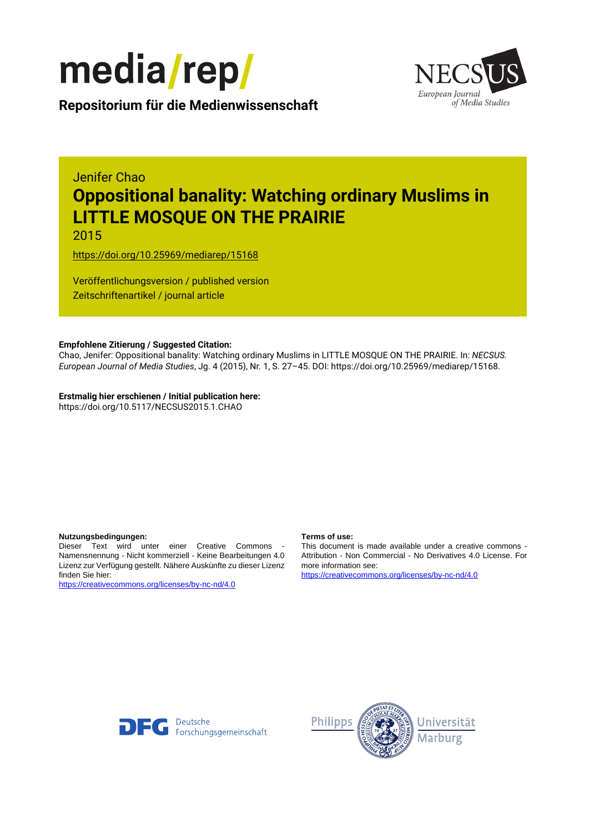



**Repositorium für die [Medienwissenschaft](https://mediarep.org)**

# Jenifer Chao **Oppositional banality: Watching ordinary Muslims in LITTLE MOSQUE ON THE PRAIRIE**

2015

<https://doi.org/10.25969/mediarep/15168>

Veröffentlichungsversion / published version Zeitschriftenartikel / journal article

#### **Empfohlene Zitierung / Suggested Citation:**

Chao, Jenifer: Oppositional banality: Watching ordinary Muslims in LITTLE MOSQUE ON THE PRAIRIE. In: *NECSUS. European Journal of Media Studies*, Jg. 4 (2015), Nr. 1, S. 27–45. DOI: https://doi.org/10.25969/mediarep/15168.

**Erstmalig hier erschienen / Initial publication here:** https://doi.org/10.5117/NECSUS2015.1.CHAO

#### **Nutzungsbedingungen: Terms of use:**

Dieser Text wird unter einer Creative Commons - Namensnennung - Nicht kommerziell - Keine Bearbeitungen 4.0 Lizenz zur Verfügung gestellt. Nähere Auskünfte zu dieser Lizenz finden Sie hier:

<https://creativecommons.org/licenses/by-nc-nd/4.0>

This document is made available under a creative commons - Attribution - Non Commercial - No Derivatives 4.0 License. For more information see:

<https://creativecommons.org/licenses/by-nc-nd/4.0>



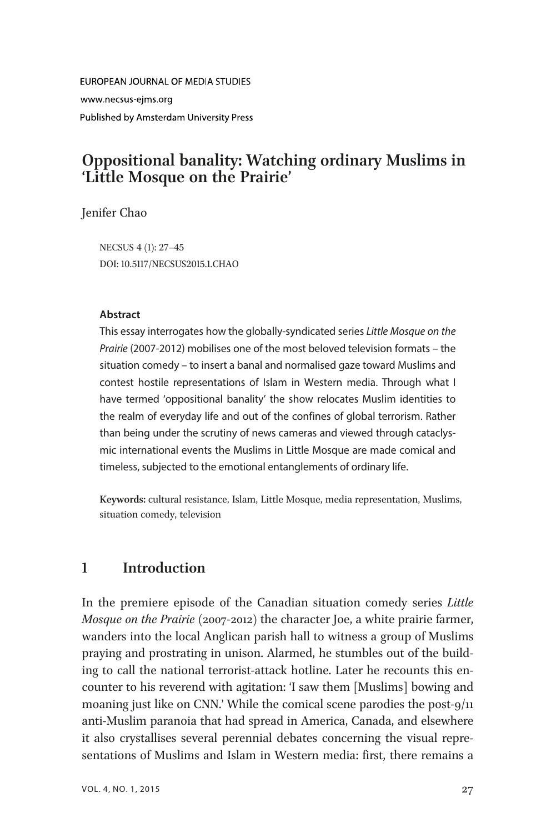**FUROPEAN JOURNAL OF MEDIA STUDIES** www.necsus-ejms.org Published by Amsterdam University Press

# Oppositional banality: Watching ordinary Muslims in 'Little Mosque on the Prairie'

Jenifer Chao

NECSUS 4 (1): 27–45 DOI: 10.5117/NECSUS2015.1.CHAO

#### Abstract

This essay interrogates how the globally-syndicated series Little Mosque on the Prairie (2007-2012) mobilises one of the most beloved television formats – the situation comedy – to insert a banal and normalised gaze toward Muslims and contest hostile representations of Islam in Western media. Through what I have termed 'oppositional banality' the show relocates Muslim identities to the realm of everyday life and out of the confines of global terrorism. Rather than being under the scrutiny of news cameras and viewed through cataclysmic international events the Muslims in Little Mosque are made comical and timeless, subjected to the emotional entanglements of ordinary life.

Keywords: cultural resistance, Islam, Little Mosque, media representation, Muslims, situation comedy, television

# 1 Introduction

In the premiere episode of the Canadian situation comedy series Little Mosque on the Prairie (2007-2012) the character Joe, a white prairie farmer, wanders into the local Anglican parish hall to witness a group of Muslims praying and prostrating in unison. Alarmed, he stumbles out of the building to call the national terrorist-attack hotline. Later he recounts this encounter to his reverend with agitation: 'I saw them [Muslims] bowing and moaning just like on CNN.' While the comical scene parodies the post-9/11 anti-Muslim paranoia that had spread in America, Canada, and elsewhere it also crystallises several perennial debates concerning the visual representations of Muslims and Islam in Western media: first, there remains a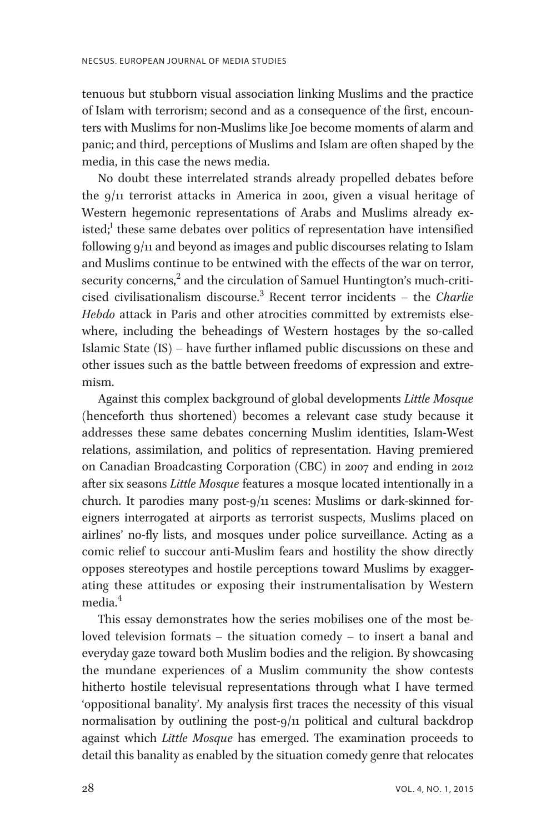tenuous but stubborn visual association linking Muslims and the practice of Islam with terrorism; second and as a consequence of the first, encounters with Muslims for non-Muslims like Joe become moments of alarm and panic; and third, perceptions of Muslims and Islam are often shaped by the media, in this case the news media.

No doubt these interrelated strands already propelled debates before the 9/11 terrorist attacks in America in 2001, given a visual heritage of Western hegemonic representations of Arabs and Muslims already existed;<sup>1</sup> these same debates over politics of representation have intensified following 9/11 and beyond as images and public discourses relating to Islam and Muslims continue to be entwined with the effects of the war on terror, security concerns,<sup>2</sup> and the circulation of Samuel Huntington's much-criticised civilisationalism discourse.<sup>3</sup> Recent terror incidents – the *Charlie* Hebdo attack in Paris and other atrocities committed by extremists elsewhere, including the beheadings of Western hostages by the so-called Islamic State (IS) – have further inflamed public discussions on these and other issues such as the battle between freedoms of expression and extremism.

Against this complex background of global developments Little Mosque (henceforth thus shortened) becomes a relevant case study because it addresses these same debates concerning Muslim identities, Islam-West relations, assimilation, and politics of representation. Having premiered on Canadian Broadcasting Corporation (CBC) in 2007 and ending in 2012 after six seasons Little Mosque features a mosque located intentionally in a church. It parodies many post-9/11 scenes: Muslims or dark-skinned foreigners interrogated at airports as terrorist suspects, Muslims placed on airlines' no-fly lists, and mosques under police surveillance. Acting as a comic relief to succour anti-Muslim fears and hostility the show directly opposes stereotypes and hostile perceptions toward Muslims by exaggerating these attitudes or exposing their instrumentalisation by Western media<sup>4</sup>

This essay demonstrates how the series mobilises one of the most beloved television formats – the situation comedy – to insert a banal and everyday gaze toward both Muslim bodies and the religion. By showcasing the mundane experiences of a Muslim community the show contests hitherto hostile televisual representations through what I have termed 'oppositional banality'. My analysis first traces the necessity of this visual normalisation by outlining the post-9/11 political and cultural backdrop against which Little Mosque has emerged. The examination proceeds to detail this banality as enabled by the situation comedy genre that relocates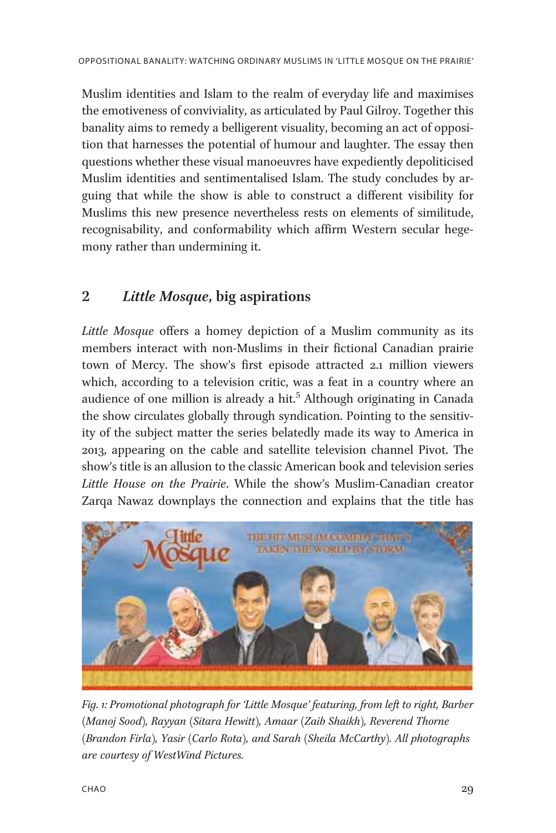Muslim identities and Islam to the realm of everyday life and maximises the emotiveness of conviviality, as articulated by Paul Gilroy. Together this banality aims to remedy a belligerent visuality, becoming an act of opposition that harnesses the potential of humour and laughter. The essay then questions whether these visual manoeuvres have expediently depoliticised Muslim identities and sentimentalised Islam. The study concludes by arguing that while the show is able to construct a different visibility for Muslims this new presence nevertheless rests on elements of similitude, recognisability, and conformability which affirm Western secular hegemony rather than undermining it.

# 2 Little Mosque, big aspirations

Little Mosque offers a homey depiction of a Muslim community as its members interact with non-Muslims in their fictional Canadian prairie town of Mercy. The show's first episode attracted 2.1 million viewers which, according to a television critic, was a feat in a country where an audience of one million is already a hit.<sup>5</sup> Although originating in Canada the show circulates globally through syndication. Pointing to the sensitivity of the subject matter the series belatedly made its way to America in 2013, appearing on the cable and satellite television channel Pivot. The show's title is an allusion to the classic American book and television series Little House on the Prairie. While the show's Muslim-Canadian creator Zarqa Nawaz downplays the connection and explains that the title has



Fig. 1: Promotional photograph for 'Little Mosque' featuring, from left to right, Barber (Manoj Sood), Rayyan (Sitara Hewitt), Amaar (Zaib Shaikh), Reverend Thorne (Brandon Firla), Yasir (Carlo Rota), and Sarah (Sheila McCarthy). All photographs are courtesy of WestWind Pictures.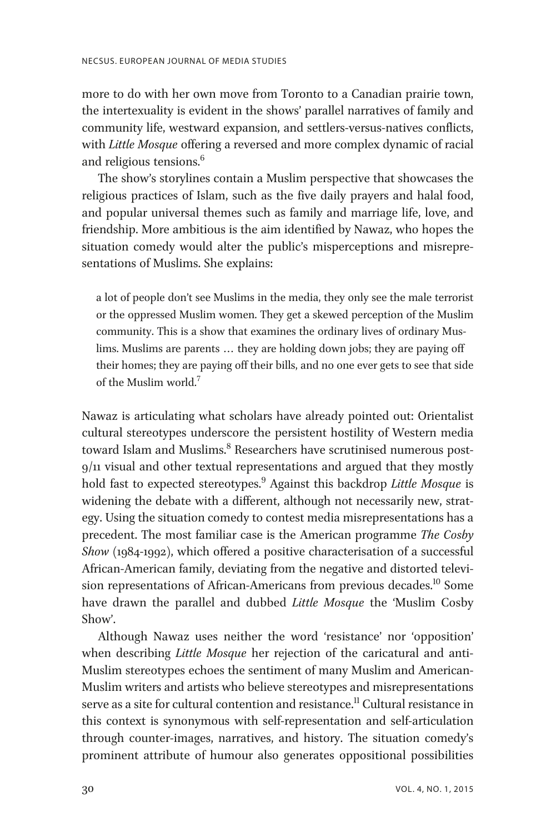more to do with her own move from Toronto to a Canadian prairie town, the intertexuality is evident in the shows' parallel narratives of family and community life, westward expansion, and settlers-versus-natives conflicts, with Little Mosque offering a reversed and more complex dynamic of racial and religious tensions.<sup>6</sup>

The show's storylines contain a Muslim perspective that showcases the religious practices of Islam, such as the five daily prayers and halal food, and popular universal themes such as family and marriage life, love, and friendship. More ambitious is the aim identified by Nawaz, who hopes the situation comedy would alter the public's misperceptions and misrepresentations of Muslims. She explains:

a lot of people don't see Muslims in the media, they only see the male terrorist or the oppressed Muslim women. They get a skewed perception of the Muslim community. This is a show that examines the ordinary lives of ordinary Muslims. Muslims are parents ... they are holding down jobs; they are paying off their homes; they are paying off their bills, and no one ever gets to see that side of the Muslim world.<sup>7</sup>

Nawaz is articulating what scholars have already pointed out: Orientalist cultural stereotypes underscore the persistent hostility of Western media toward Islam and Muslims.<sup>8</sup> Researchers have scrutinised numerous post-9/11 visual and other textual representations and argued that they mostly hold fast to expected stereotypes.<sup>9</sup> Against this backdrop Little Mosque is widening the debate with a different, although not necessarily new, strategy. Using the situation comedy to contest media misrepresentations has a precedent. The most familiar case is the American programme The Cosby Show (1984-1992), which offered a positive characterisation of a successful African-American family, deviating from the negative and distorted television representations of African-Americans from previous decades.<sup>10</sup> Some have drawn the parallel and dubbed Little Mosque the 'Muslim Cosby Show'.

Although Nawaz uses neither the word 'resistance' nor 'opposition' when describing *Little Mosque* her rejection of the caricatural and anti-Muslim stereotypes echoes the sentiment of many Muslim and American-Muslim writers and artists who believe stereotypes and misrepresentations serve as a site for cultural contention and resistance.<sup>11</sup> Cultural resistance in this context is synonymous with self-representation and self-articulation through counter-images, narratives, and history. The situation comedy's prominent attribute of humour also generates oppositional possibilities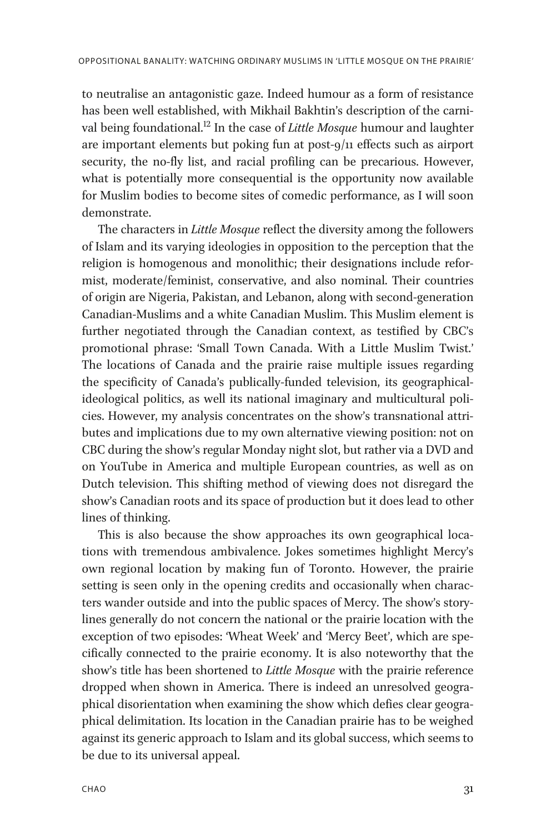to neutralise an antagonistic gaze. Indeed humour as a form of resistance has been well established, with Mikhail Bakhtin's description of the carnival being foundational.<sup>12</sup> In the case of *Little Mosque* humour and laughter are important elements but poking fun at post-9/11 effects such as airport security, the no-fly list, and racial profiling can be precarious. However, what is potentially more consequential is the opportunity now available for Muslim bodies to become sites of comedic performance, as I will soon demonstrate.

The characters in Little Mosque reflect the diversity among the followers of Islam and its varying ideologies in opposition to the perception that the religion is homogenous and monolithic; their designations include reformist, moderate/feminist, conservative, and also nominal. Their countries of origin are Nigeria, Pakistan, and Lebanon, along with second-generation Canadian-Muslims and a white Canadian Muslim. This Muslim element is further negotiated through the Canadian context, as testified by CBC's promotional phrase: 'Small Town Canada. With a Little Muslim Twist.' The locations of Canada and the prairie raise multiple issues regarding the specificity of Canada's publically-funded television, its geographicalideological politics, as well its national imaginary and multicultural policies. However, my analysis concentrates on the show's transnational attributes and implications due to my own alternative viewing position: not on CBC during the show's regular Monday night slot, but rather via a DVD and on YouTube in America and multiple European countries, as well as on Dutch television. This shifting method of viewing does not disregard the show's Canadian roots and its space of production but it does lead to other lines of thinking.

This is also because the show approaches its own geographical locations with tremendous ambivalence. Jokes sometimes highlight Mercy's own regional location by making fun of Toronto. However, the prairie setting is seen only in the opening credits and occasionally when characters wander outside and into the public spaces of Mercy. The show's storylines generally do not concern the national or the prairie location with the exception of two episodes: 'Wheat Week' and 'Mercy Beet', which are specifically connected to the prairie economy. It is also noteworthy that the show's title has been shortened to Little Mosque with the prairie reference dropped when shown in America. There is indeed an unresolved geographical disorientation when examining the show which defies clear geographical delimitation. Its location in the Canadian prairie has to be weighed against its generic approach to Islam and its global success, which seems to be due to its universal appeal.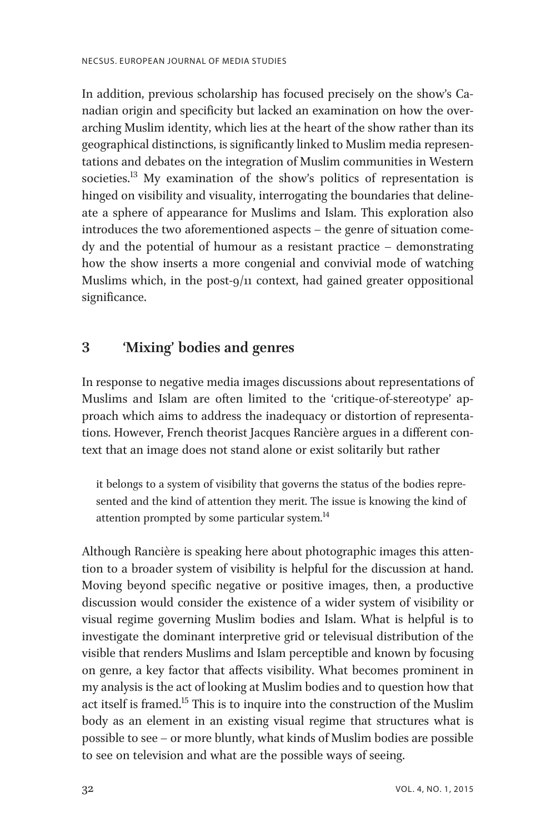In addition, previous scholarship has focused precisely on the show's Canadian origin and specificity but lacked an examination on how the overarching Muslim identity, which lies at the heart of the show rather than its geographical distinctions, is significantly linked to Muslim media representations and debates on the integration of Muslim communities in Western societies.<sup>13</sup> My examination of the show's politics of representation is hinged on visibility and visuality, interrogating the boundaries that delineate a sphere of appearance for Muslims and Islam. This exploration also introduces the two aforementioned aspects – the genre of situation comedy and the potential of humour as a resistant practice – demonstrating how the show inserts a more congenial and convivial mode of watching Muslims which, in the post-9/11 context, had gained greater oppositional significance.

# 3 'Mixing' bodies and genres

In response to negative media images discussions about representations of Muslims and Islam are often limited to the 'critique-of-stereotype' approach which aims to address the inadequacy or distortion of representations. However, French theorist Jacques Rancière argues in a different context that an image does not stand alone or exist solitarily but rather

it belongs to a system of visibility that governs the status of the bodies represented and the kind of attention they merit. The issue is knowing the kind of attention prompted by some particular system.<sup>14</sup>

Although Rancière is speaking here about photographic images this attention to a broader system of visibility is helpful for the discussion at hand. Moving beyond specific negative or positive images, then, a productive discussion would consider the existence of a wider system of visibility or visual regime governing Muslim bodies and Islam. What is helpful is to investigate the dominant interpretive grid or televisual distribution of the visible that renders Muslims and Islam perceptible and known by focusing on genre, a key factor that affects visibility. What becomes prominent in my analysis is the act of looking at Muslim bodies and to question how that act itself is framed.<sup>15</sup> This is to inquire into the construction of the Muslim body as an element in an existing visual regime that structures what is possible to see – or more bluntly, what kinds of Muslim bodies are possible to see on television and what are the possible ways of seeing.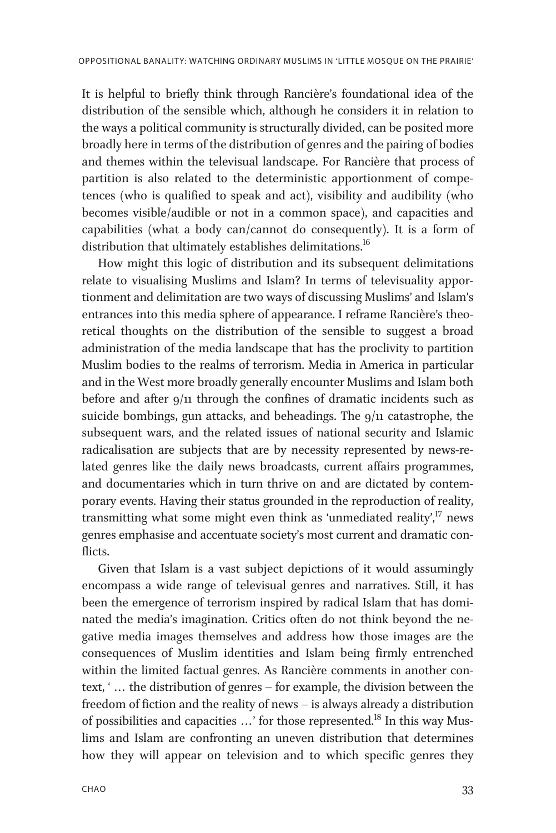It is helpful to briefly think through Rancière's foundational idea of the distribution of the sensible which, although he considers it in relation to the ways a political community is structurally divided, can be posited more broadly here in terms of the distribution of genres and the pairing of bodies and themes within the televisual landscape. For Rancière that process of partition is also related to the deterministic apportionment of competences (who is qualified to speak and act), visibility and audibility (who becomes visible/audible or not in a common space), and capacities and capabilities (what a body can/cannot do consequently). It is a form of distribution that ultimately establishes delimitations.<sup>16</sup>

How might this logic of distribution and its subsequent delimitations relate to visualising Muslims and Islam? In terms of televisuality apportionment and delimitation are two ways of discussing Muslims' and Islam's entrances into this media sphere of appearance. I reframe Rancière's theoretical thoughts on the distribution of the sensible to suggest a broad administration of the media landscape that has the proclivity to partition Muslim bodies to the realms of terrorism. Media in America in particular and in the West more broadly generally encounter Muslims and Islam both before and after  $9/11$  through the confines of dramatic incidents such as suicide bombings, gun attacks, and beheadings. The  $9/11$  catastrophe, the subsequent wars, and the related issues of national security and Islamic radicalisation are subjects that are by necessity represented by news-related genres like the daily news broadcasts, current affairs programmes, and documentaries which in turn thrive on and are dictated by contemporary events. Having their status grounded in the reproduction of reality, transmitting what some might even think as 'unmediated reality', <sup>17</sup> news genres emphasise and accentuate society's most current and dramatic conflicts.

Given that Islam is a vast subject depictions of it would assumingly encompass a wide range of televisual genres and narratives. Still, it has been the emergence of terrorism inspired by radical Islam that has dominated the media's imagination. Critics often do not think beyond the negative media images themselves and address how those images are the consequences of Muslim identities and Islam being firmly entrenched within the limited factual genres. As Rancière comments in another context, ' ... the distribution of genres – for example, the division between the freedom of fiction and the reality of news – is always already a distribution of possibilities and capacities ...' for those represented.<sup>18</sup> In this way Muslims and Islam are confronting an uneven distribution that determines how they will appear on television and to which specific genres they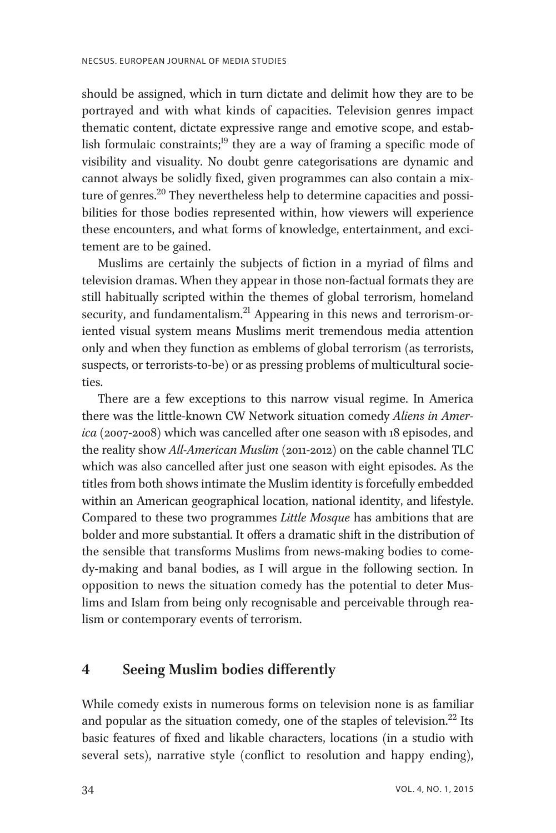should be assigned, which in turn dictate and delimit how they are to be portrayed and with what kinds of capacities. Television genres impact thematic content, dictate expressive range and emotive scope, and establish formulaic constraints; $19$  they are a way of framing a specific mode of visibility and visuality. No doubt genre categorisations are dynamic and cannot always be solidly fixed, given programmes can also contain a mixture of genres.<sup>20</sup> They nevertheless help to determine capacities and possibilities for those bodies represented within, how viewers will experience these encounters, and what forms of knowledge, entertainment, and excitement are to be gained.

Muslims are certainly the subjects of fiction in a myriad of films and television dramas. When they appear in those non-factual formats they are still habitually scripted within the themes of global terrorism, homeland security, and fundamentalism.<sup>21</sup> Appearing in this news and terrorism-oriented visual system means Muslims merit tremendous media attention only and when they function as emblems of global terrorism (as terrorists, suspects, or terrorists-to-be) or as pressing problems of multicultural societies.

There are a few exceptions to this narrow visual regime. In America there was the little-known CW Network situation comedy Aliens in America (2007-2008) which was cancelled after one season with 18 episodes, and the reality show All-American Muslim (2011-2012) on the cable channel TLC which was also cancelled after just one season with eight episodes. As the titles from both shows intimate the Muslim identity is forcefully embedded within an American geographical location, national identity, and lifestyle. Compared to these two programmes Little Mosque has ambitions that are bolder and more substantial. It offers a dramatic shift in the distribution of the sensible that transforms Muslims from news-making bodies to comedy-making and banal bodies, as I will argue in the following section. In opposition to news the situation comedy has the potential to deter Muslims and Islam from being only recognisable and perceivable through realism or contemporary events of terrorism.

## 4 Seeing Muslim bodies differently

While comedy exists in numerous forms on television none is as familiar and popular as the situation comedy, one of the staples of television.<sup>22</sup> Its basic features of fixed and likable characters, locations (in a studio with several sets), narrative style (conflict to resolution and happy ending),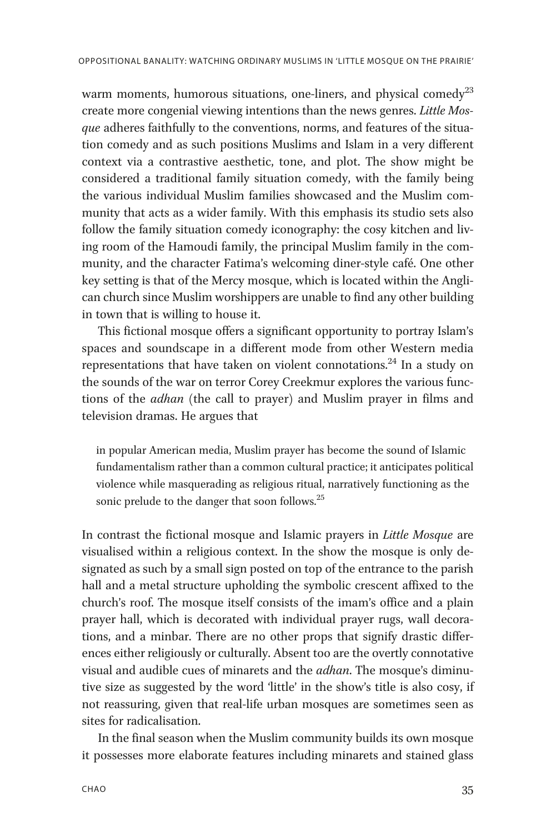warm moments, humorous situations, one-liners, and physical comedy<sup>23</sup> create more congenial viewing intentions than the news genres. Little Mosque adheres faithfully to the conventions, norms, and features of the situation comedy and as such positions Muslims and Islam in a very different context via a contrastive aesthetic, tone, and plot. The show might be considered a traditional family situation comedy, with the family being the various individual Muslim families showcased and the Muslim community that acts as a wider family. With this emphasis its studio sets also follow the family situation comedy iconography: the cosy kitchen and living room of the Hamoudi family, the principal Muslim family in the community, and the character Fatima's welcoming diner-style café. One other key setting is that of the Mercy mosque, which is located within the Anglican church since Muslim worshippers are unable to find any other building in town that is willing to house it.

This fictional mosque offers a significant opportunity to portray Islam's spaces and soundscape in a different mode from other Western media representations that have taken on violent connotations.<sup>24</sup> In a study on the sounds of the war on terror Corey Creekmur explores the various functions of the adhan (the call to prayer) and Muslim prayer in films and television dramas. He argues that

in popular American media, Muslim prayer has become the sound of Islamic fundamentalism rather than a common cultural practice; it anticipates political violence while masquerading as religious ritual, narratively functioning as the sonic prelude to the danger that soon follows.<sup>25</sup>

In contrast the fictional mosque and Islamic prayers in Little Mosque are visualised within a religious context. In the show the mosque is only designated as such by a small sign posted on top of the entrance to the parish hall and a metal structure upholding the symbolic crescent affixed to the church's roof. The mosque itself consists of the imam's office and a plain prayer hall, which is decorated with individual prayer rugs, wall decorations, and a minbar. There are no other props that signify drastic differences either religiously or culturally. Absent too are the overtly connotative visual and audible cues of minarets and the *adhan*. The mosque's diminutive size as suggested by the word 'little' in the show's title is also cosy, if not reassuring, given that real-life urban mosques are sometimes seen as sites for radicalisation.

In the final season when the Muslim community builds its own mosque it possesses more elaborate features including minarets and stained glass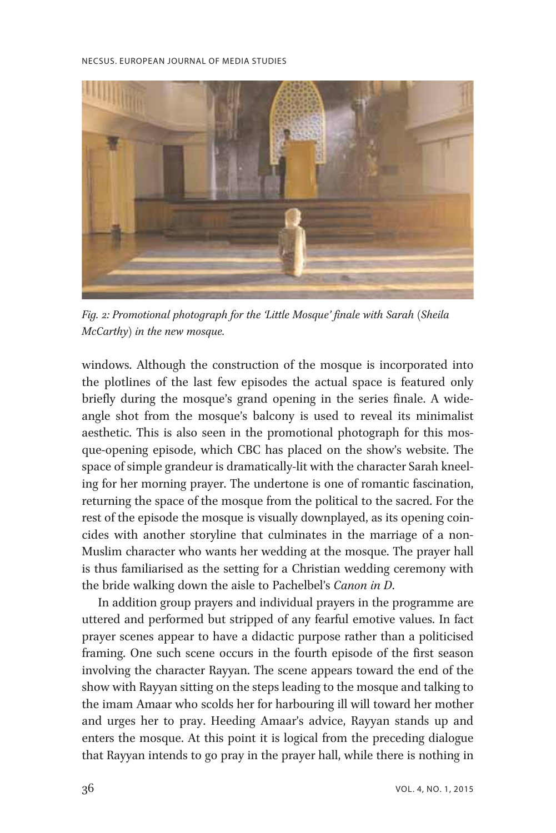

Fig. 2: Promotional photograph for the 'Little Mosque' finale with Sarah (Sheila McCarthy) in the new mosque.

windows. Although the construction of the mosque is incorporated into the plotlines of the last few episodes the actual space is featured only briefly during the mosque's grand opening in the series finale. A wideangle shot from the mosque's balcony is used to reveal its minimalist aesthetic. This is also seen in the promotional photograph for this mosque-opening episode, which CBC has placed on the show's website. The space of simple grandeur is dramatically-lit with the character Sarah kneeling for her morning prayer. The undertone is one of romantic fascination, returning the space of the mosque from the political to the sacred. For the rest of the episode the mosque is visually downplayed, as its opening coincides with another storyline that culminates in the marriage of a non-Muslim character who wants her wedding at the mosque. The prayer hall is thus familiarised as the setting for a Christian wedding ceremony with the bride walking down the aisle to Pachelbel's Canon in D.

In addition group prayers and individual prayers in the programme are uttered and performed but stripped of any fearful emotive values. In fact prayer scenes appear to have a didactic purpose rather than a politicised framing. One such scene occurs in the fourth episode of the first season involving the character Rayyan. The scene appears toward the end of the show with Rayyan sitting on the steps leading to the mosque and talking to the imam Amaar who scolds her for harbouring ill will toward her mother and urges her to pray. Heeding Amaar's advice, Rayyan stands up and enters the mosque. At this point it is logical from the preceding dialogue that Rayyan intends to go pray in the prayer hall, while there is nothing in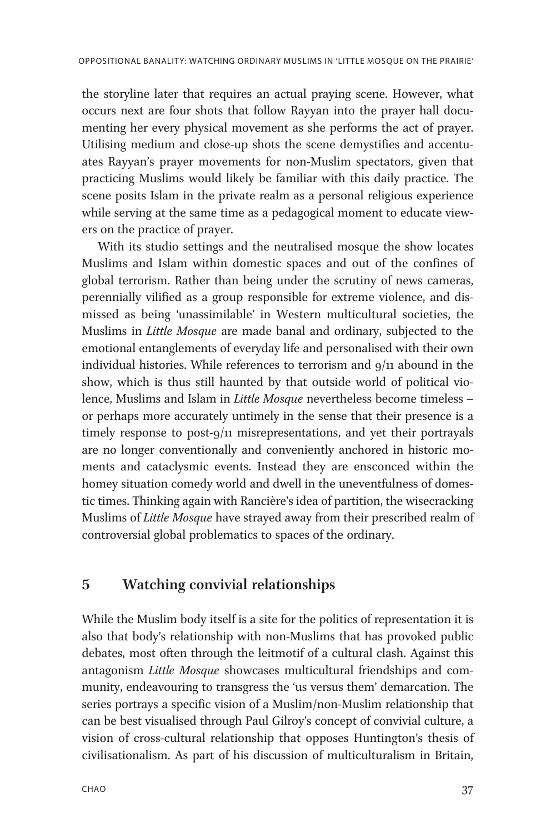the storyline later that requires an actual praying scene. However, what occurs next are four shots that follow Rayyan into the prayer hall documenting her every physical movement as she performs the act of prayer. Utilising medium and close-up shots the scene demystifies and accentuates Rayyan's prayer movements for non-Muslim spectators, given that practicing Muslims would likely be familiar with this daily practice. The scene posits Islam in the private realm as a personal religious experience while serving at the same time as a pedagogical moment to educate viewers on the practice of prayer.

With its studio settings and the neutralised mosque the show locates Muslims and Islam within domestic spaces and out of the confines of global terrorism. Rather than being under the scrutiny of news cameras, perennially vilified as a group responsible for extreme violence, and dismissed as being 'unassimilable' in Western multicultural societies, the Muslims in Little Mosque are made banal and ordinary, subjected to the emotional entanglements of everyday life and personalised with their own individual histories. While references to terrorism and  $9/11$  abound in the show, which is thus still haunted by that outside world of political violence, Muslims and Islam in Little Mosque nevertheless become timeless – or perhaps more accurately untimely in the sense that their presence is a timely response to post-9/11 misrepresentations, and yet their portrayals are no longer conventionally and conveniently anchored in historic moments and cataclysmic events. Instead they are ensconced within the homey situation comedy world and dwell in the uneventfulness of domestic times. Thinking again with Rancière's idea of partition, the wisecracking Muslims of Little Mosque have strayed away from their prescribed realm of controversial global problematics to spaces of the ordinary.

## 5 Watching convivial relationships

While the Muslim body itself is a site for the politics of representation it is also that body's relationship with non-Muslims that has provoked public debates, most often through the leitmotif of a cultural clash. Against this antagonism Little Mosque showcases multicultural friendships and community, endeavouring to transgress the 'us versus them' demarcation. The series portrays a specific vision of a Muslim/non-Muslim relationship that can be best visualised through Paul Gilroy's concept of convivial culture, a vision of cross-cultural relationship that opposes Huntington's thesis of civilisationalism. As part of his discussion of multiculturalism in Britain,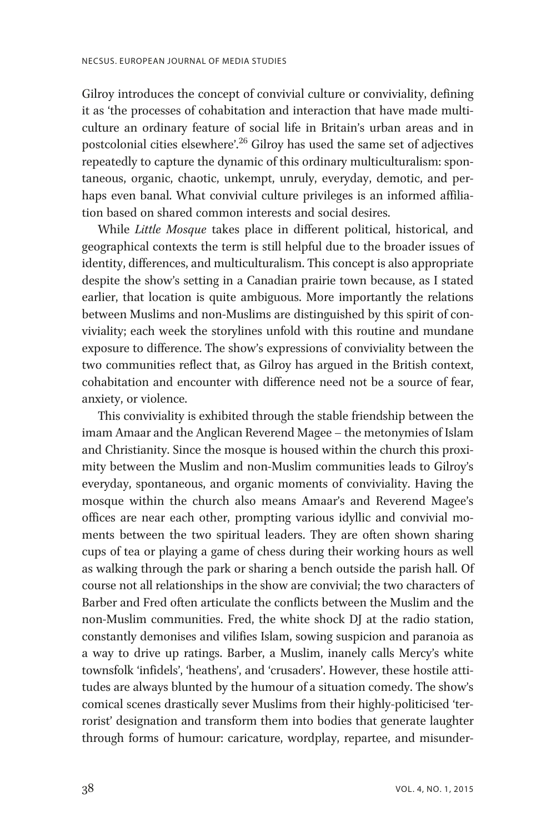Gilroy introduces the concept of convivial culture or conviviality, defining it as 'the processes of cohabitation and interaction that have made multiculture an ordinary feature of social life in Britain's urban areas and in postcolonial cities elsewhere'. <sup>26</sup> Gilroy has used the same set of adjectives repeatedly to capture the dynamic of this ordinary multiculturalism: spontaneous, organic, chaotic, unkempt, unruly, everyday, demotic, and perhaps even banal. What convivial culture privileges is an informed affiliation based on shared common interests and social desires.

While Little Mosque takes place in different political, historical, and geographical contexts the term is still helpful due to the broader issues of identity, differences, and multiculturalism. This concept is also appropriate despite the show's setting in a Canadian prairie town because, as I stated earlier, that location is quite ambiguous. More importantly the relations between Muslims and non-Muslims are distinguished by this spirit of conviviality; each week the storylines unfold with this routine and mundane exposure to difference. The show's expressions of conviviality between the two communities reflect that, as Gilroy has argued in the British context, cohabitation and encounter with difference need not be a source of fear, anxiety, or violence.

This conviviality is exhibited through the stable friendship between the imam Amaar and the Anglican Reverend Magee – the metonymies of Islam and Christianity. Since the mosque is housed within the church this proximity between the Muslim and non-Muslim communities leads to Gilroy's everyday, spontaneous, and organic moments of conviviality. Having the mosque within the church also means Amaar's and Reverend Magee's offices are near each other, prompting various idyllic and convivial moments between the two spiritual leaders. They are often shown sharing cups of tea or playing a game of chess during their working hours as well as walking through the park or sharing a bench outside the parish hall. Of course not all relationships in the show are convivial; the two characters of Barber and Fred often articulate the conflicts between the Muslim and the non-Muslim communities. Fred, the white shock DJ at the radio station, constantly demonises and vilifies Islam, sowing suspicion and paranoia as a way to drive up ratings. Barber, a Muslim, inanely calls Mercy's white townsfolk 'infidels', 'heathens', and 'crusaders'. However, these hostile attitudes are always blunted by the humour of a situation comedy. The show's comical scenes drastically sever Muslims from their highly-politicised 'terrorist' designation and transform them into bodies that generate laughter through forms of humour: caricature, wordplay, repartee, and misunder-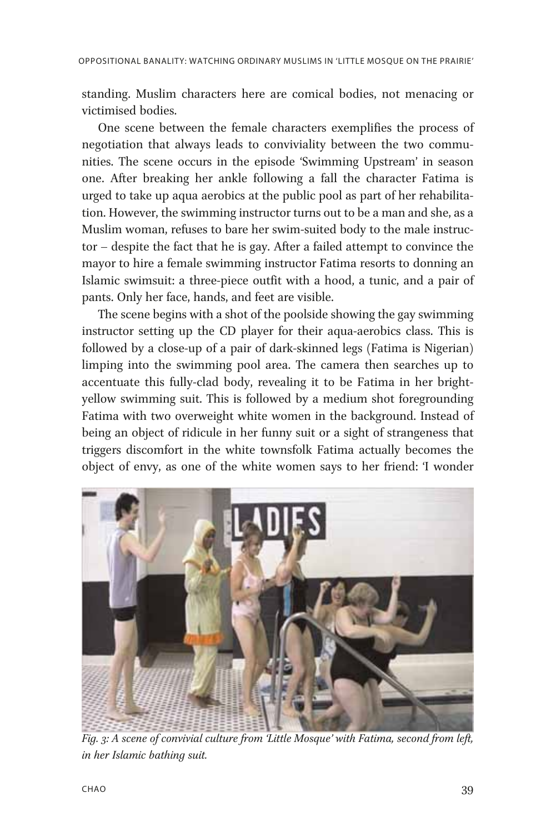standing. Muslim characters here are comical bodies, not menacing or victimised bodies.

One scene between the female characters exemplifies the process of negotiation that always leads to conviviality between the two communities. The scene occurs in the episode 'Swimming Upstream' in season one. After breaking her ankle following a fall the character Fatima is urged to take up aqua aerobics at the public pool as part of her rehabilitation. However, the swimming instructor turns out to be a man and she, as a Muslim woman, refuses to bare her swim-suited body to the male instructor – despite the fact that he is gay. After a failed attempt to convince the mayor to hire a female swimming instructor Fatima resorts to donning an Islamic swimsuit: a three-piece outfit with a hood, a tunic, and a pair of pants. Only her face, hands, and feet are visible.

The scene begins with a shot of the poolside showing the gay swimming instructor setting up the CD player for their aqua-aerobics class. This is followed by a close-up of a pair of dark-skinned legs (Fatima is Nigerian) limping into the swimming pool area. The camera then searches up to accentuate this fully-clad body, revealing it to be Fatima in her brightyellow swimming suit. This is followed by a medium shot foregrounding Fatima with two overweight white women in the background. Instead of being an object of ridicule in her funny suit or a sight of strangeness that triggers discomfort in the white townsfolk Fatima actually becomes the object of envy, as one of the white women says to her friend: 'I wonder



Fig. 3: A scene of convivial culture from 'Little Mosque' with Fatima, second from left, in her Islamic bathing suit.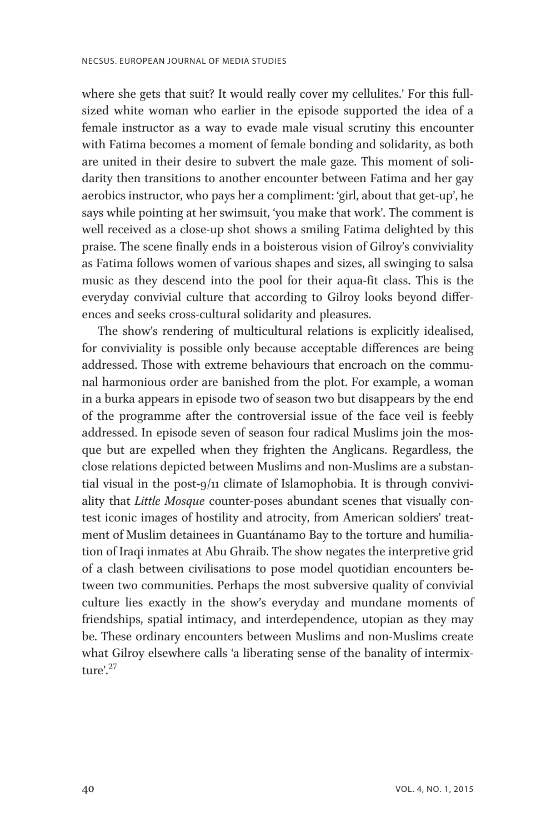where she gets that suit? It would really cover my cellulites.' For this fullsized white woman who earlier in the episode supported the idea of a female instructor as a way to evade male visual scrutiny this encounter with Fatima becomes a moment of female bonding and solidarity, as both are united in their desire to subvert the male gaze. This moment of solidarity then transitions to another encounter between Fatima and her gay aerobics instructor, who pays her a compliment: 'girl, about that get-up', he says while pointing at her swimsuit, 'you make that work'. The comment is well received as a close-up shot shows a smiling Fatima delighted by this praise. The scene finally ends in a boisterous vision of Gilroy's conviviality as Fatima follows women of various shapes and sizes, all swinging to salsa music as they descend into the pool for their aqua-fit class. This is the everyday convivial culture that according to Gilroy looks beyond differences and seeks cross-cultural solidarity and pleasures.

The show's rendering of multicultural relations is explicitly idealised, for conviviality is possible only because acceptable differences are being addressed. Those with extreme behaviours that encroach on the communal harmonious order are banished from the plot. For example, a woman in a burka appears in episode two of season two but disappears by the end of the programme after the controversial issue of the face veil is feebly addressed. In episode seven of season four radical Muslims join the mosque but are expelled when they frighten the Anglicans. Regardless, the close relations depicted between Muslims and non-Muslims are a substantial visual in the post-9/11 climate of Islamophobia. It is through conviviality that Little Mosque counter-poses abundant scenes that visually contest iconic images of hostility and atrocity, from American soldiers' treatment of Muslim detainees in Guantánamo Bay to the torture and humiliation of Iraqi inmates at Abu Ghraib. The show negates the interpretive grid of a clash between civilisations to pose model quotidian encounters between two communities. Perhaps the most subversive quality of convivial culture lies exactly in the show's everyday and mundane moments of friendships, spatial intimacy, and interdependence, utopian as they may be. These ordinary encounters between Muslims and non-Muslims create what Gilroy elsewhere calls 'a liberating sense of the banality of intermixture'. 27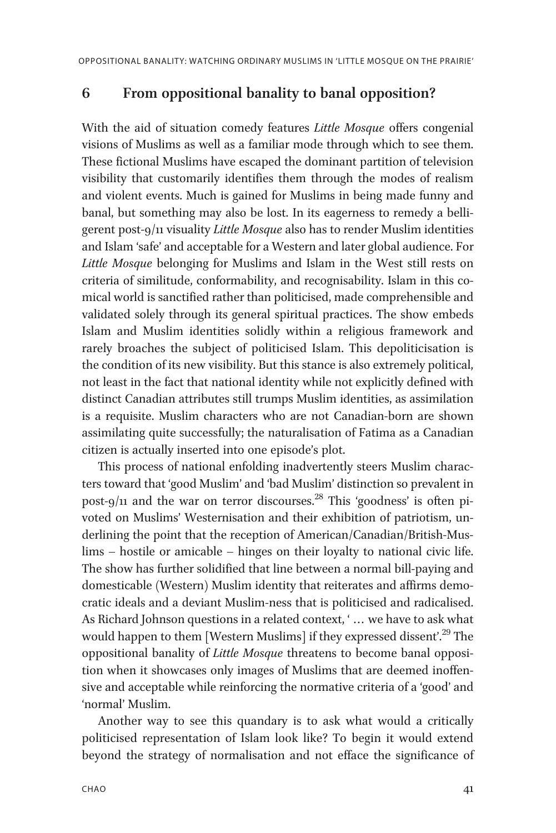# 6 From oppositional banality to banal opposition?

With the aid of situation comedy features Little Mosque offers congenial visions of Muslims as well as a familiar mode through which to see them. These fictional Muslims have escaped the dominant partition of television visibility that customarily identifies them through the modes of realism and violent events. Much is gained for Muslims in being made funny and banal, but something may also be lost. In its eagerness to remedy a belligerent post-9/11 visuality Little Mosque also has to render Muslim identities and Islam 'safe' and acceptable for a Western and later global audience. For Little Mosque belonging for Muslims and Islam in the West still rests on criteria of similitude, conformability, and recognisability. Islam in this comical world is sanctified rather than politicised, made comprehensible and validated solely through its general spiritual practices. The show embeds Islam and Muslim identities solidly within a religious framework and rarely broaches the subject of politicised Islam. This depoliticisation is the condition of its new visibility. But this stance is also extremely political, not least in the fact that national identity while not explicitly defined with distinct Canadian attributes still trumps Muslim identities, as assimilation is a requisite. Muslim characters who are not Canadian-born are shown assimilating quite successfully; the naturalisation of Fatima as a Canadian citizen is actually inserted into one episode's plot.

This process of national enfolding inadvertently steers Muslim characters toward that 'good Muslim' and 'bad Muslim' distinction so prevalent in post-9/11 and the war on terror discourses.<sup>28</sup> This 'goodness' is often pivoted on Muslims' Westernisation and their exhibition of patriotism, underlining the point that the reception of American/Canadian/British-Muslims – hostile or amicable – hinges on their loyalty to national civic life. The show has further solidified that line between a normal bill-paying and domesticable (Western) Muslim identity that reiterates and affirms democratic ideals and a deviant Muslim-ness that is politicised and radicalised. As Richard Johnson questions in a related context, ' ... we have to ask what would happen to them [Western Muslims] if they expressed dissent'.<sup>29</sup> The oppositional banality of Little Mosque threatens to become banal opposition when it showcases only images of Muslims that are deemed inoffensive and acceptable while reinforcing the normative criteria of a 'good' and 'normal' Muslim.

Another way to see this quandary is to ask what would a critically politicised representation of Islam look like? To begin it would extend beyond the strategy of normalisation and not efface the significance of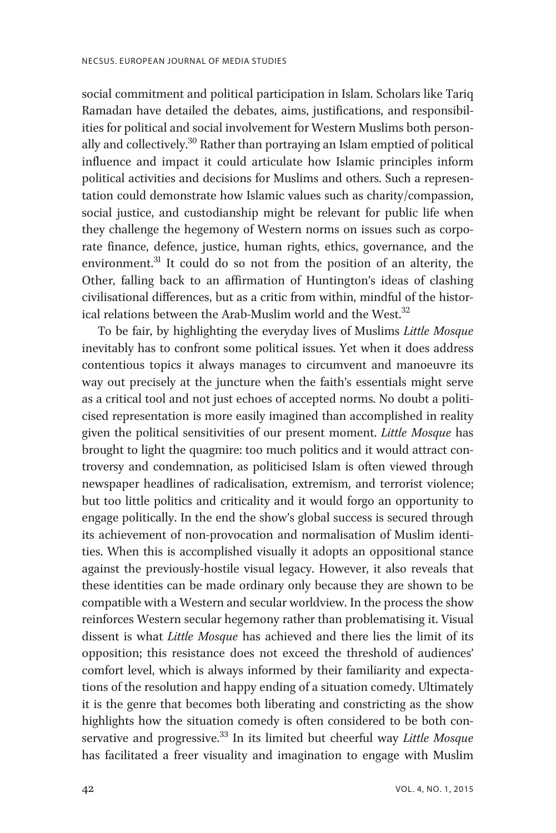social commitment and political participation in Islam. Scholars like Tariq Ramadan have detailed the debates, aims, justifications, and responsibilities for political and social involvement for Western Muslims both personally and collectively.<sup>30</sup> Rather than portraying an Islam emptied of political influence and impact it could articulate how Islamic principles inform political activities and decisions for Muslims and others. Such a representation could demonstrate how Islamic values such as charity/compassion, social justice, and custodianship might be relevant for public life when they challenge the hegemony of Western norms on issues such as corporate finance, defence, justice, human rights, ethics, governance, and the environment. $31$  It could do so not from the position of an alterity, the Other, falling back to an affirmation of Huntington's ideas of clashing civilisational differences, but as a critic from within, mindful of the historical relations between the Arab-Muslim world and the West. $32$ 

To be fair, by highlighting the everyday lives of Muslims Little Mosque inevitably has to confront some political issues. Yet when it does address contentious topics it always manages to circumvent and manoeuvre its way out precisely at the juncture when the faith's essentials might serve as a critical tool and not just echoes of accepted norms. No doubt a politicised representation is more easily imagined than accomplished in reality given the political sensitivities of our present moment. Little Mosque has brought to light the quagmire: too much politics and it would attract controversy and condemnation, as politicised Islam is often viewed through newspaper headlines of radicalisation, extremism, and terrorist violence; but too little politics and criticality and it would forgo an opportunity to engage politically. In the end the show's global success is secured through its achievement of non-provocation and normalisation of Muslim identities. When this is accomplished visually it adopts an oppositional stance against the previously-hostile visual legacy. However, it also reveals that these identities can be made ordinary only because they are shown to be compatible with a Western and secular worldview. In the process the show reinforces Western secular hegemony rather than problematising it. Visual dissent is what Little Mosque has achieved and there lies the limit of its opposition; this resistance does not exceed the threshold of audiences' comfort level, which is always informed by their familiarity and expectations of the resolution and happy ending of a situation comedy. Ultimately it is the genre that becomes both liberating and constricting as the show highlights how the situation comedy is often considered to be both conservative and progressive.<sup>33</sup> In its limited but cheerful way Little Mosque has facilitated a freer visuality and imagination to engage with Muslim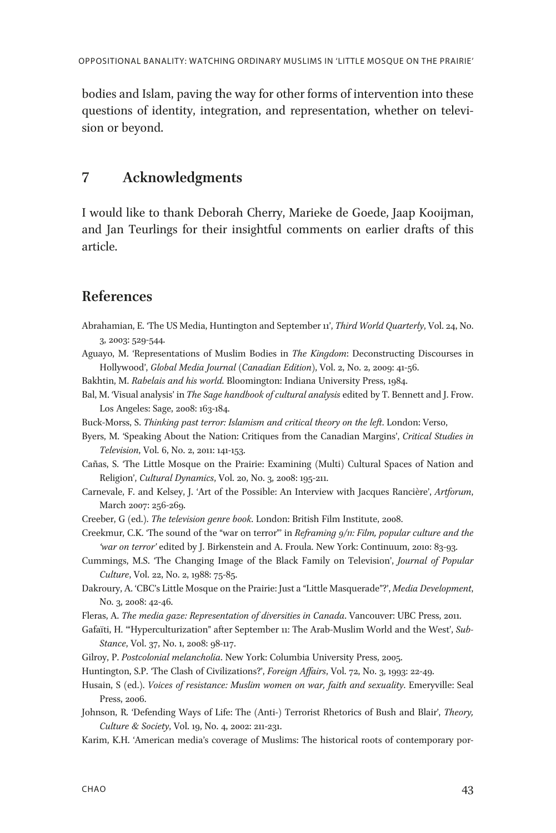bodies and Islam, paving the way for other forms of intervention into these questions of identity, integration, and representation, whether on television or beyond.

# 7 Acknowledgments

I would like to thank Deborah Cherry, Marieke de Goede, Jaap Kooijman, and Jan Teurlings for their insightful comments on earlier drafts of this article.

# References

- Abrahamian, E. 'The US Media, Huntington and September 11', Third World Quarterly, Vol. 24, No. 3, 2003: 529-544.
- Aguayo, M. 'Representations of Muslim Bodies in The Kingdom: Deconstructing Discourses in Hollywood', Global Media Journal (Canadian Edition), Vol. 2, No. 2, 2009: 41-56.
- Bakhtin, M. Rabelais and his world. Bloomington: Indiana University Press, 1984.
- Bal, M. 'Visual analysis' in The Sage handbook of cultural analysis edited by T. Bennett and J. Frow. Los Angeles: Sage, 2008: 163-184.
- Buck-Morss, S. Thinking past terror: Islamism and critical theory on the left. London: Verso,
- Byers, M. 'Speaking About the Nation: Critiques from the Canadian Margins', Critical Studies in Television, Vol. 6, No. 2, 2011: 141-153.
- Cañas, S. 'The Little Mosque on the Prairie: Examining (Multi) Cultural Spaces of Nation and Religion', Cultural Dynamics, Vol. 20, No. 3, 2008: 195-211.
- Carnevale, F. and Kelsey, J. 'Art of the Possible: An Interview with Jacques Rancière', Artforum, March 2007: 256-269.
- Creeber, G (ed.). The television genre book. London: British Film Institute, 2008.
- Creekmur, C.K. 'The sound of the "war on terror"' in Reframing  $g/$ n: Film, popular culture and the 'war on terror' edited by J. Birkenstein and A. Froula. New York: Continuum, 2010: 83-93.
- Cummings, M.S. 'The Changing Image of the Black Family on Television', Journal of Popular Culture, Vol. 22, No. 2, 1988: 75-85.
- Dakroury, A. 'CBC's Little Mosque on the Prairie: Just a "Little Masquerade"?', Media Development, No. 3, 2008: 42-46.
- Fleras, A. The media gaze: Representation of diversities in Canada. Vancouver: UBC Press, 2011.
- Gafaïti, H. '"Hyperculturization" after September 11: The Arab-Muslim World and the West', Sub-Stance, Vol. 37, No. 1, 2008: 98-117.
- Gilroy, P. Postcolonial melancholia. New York: Columbia University Press, 2005.
- Huntington, S.P. 'The Clash of Civilizations?', Foreign Affairs, Vol. 72, No. 3, 1993: 22-49.
- Husain, S (ed.). Voices of resistance: Muslim women on war, faith and sexuality. Emeryville: Seal Press, 2006.
- Johnson, R. 'Defending Ways of Life: The (Anti-) Terrorist Rhetorics of Bush and Blair', Theory, Culture & Society, Vol. 19, No. 4, 2002: 211-231.
- Karim, K.H. 'American media's coverage of Muslims: The historical roots of contemporary por-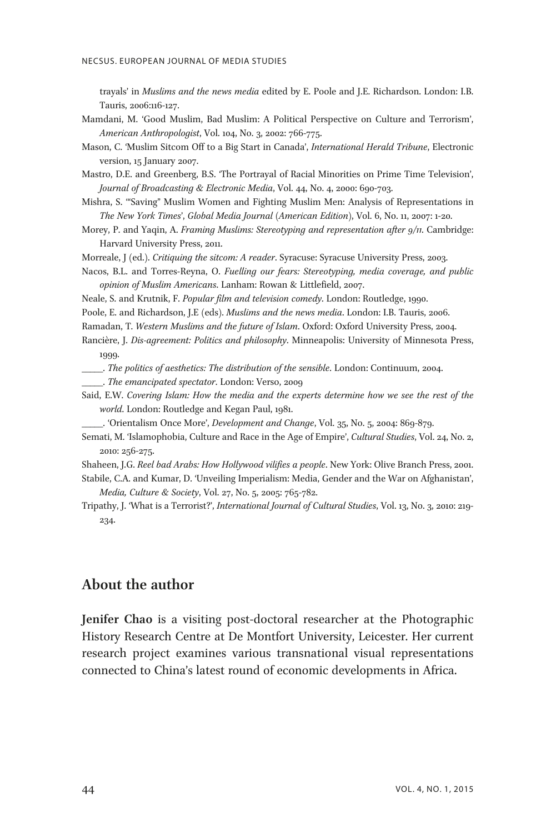trayals' in Muslims and the news media edited by E. Poole and J.E. Richardson. London: I.B. Tauris, 2006:116-127.

- Mamdani, M. 'Good Muslim, Bad Muslim: A Political Perspective on Culture and Terrorism', American Anthropologist, Vol. 104, No. 3, 2002: 766-775.
- Mason, C. 'Muslim Sitcom Off to a Big Start in Canada', International Herald Tribune, Electronic version, 15 January 2007.
- Mastro, D.E. and Greenberg, B.S. 'The Portrayal of Racial Minorities on Prime Time Television', Journal of Broadcasting & Electronic Media, Vol. 44, No. 4, 2000: 690-703.
- Mishra, S. '"Saving" Muslim Women and Fighting Muslim Men: Analysis of Representations in The New York Times', Global Media Journal (American Edition), Vol. 6, No. 11, 2007: 1-20.
- Morey, P. and Yaqin, A. Framing Muslims: Stereotyping and representation after 9/11. Cambridge: Harvard University Press, 2011.
- Morreale, J (ed.). Critiquing the sitcom: A reader. Syracuse: Syracuse University Press, 2003.
- Nacos, B.L. and Torres-Reyna, O. Fuelling our fears: Stereotyping, media coverage, and public opinion of Muslim Americans. Lanham: Rowan & Littlefield, 2007.
- Neale, S. and Krutnik, F. Popular film and television comedy. London: Routledge, 1990.
- Poole, E. and Richardson, J.E (eds). Muslims and the news media. London: I.B. Tauris, 2006.
- Ramadan, T. Western Muslims and the future of Islam. Oxford: Oxford University Press, 2004.
- Rancière, J. Dis-agreement: Politics and philosophy. Minneapolis: University of Minnesota Press, 1999.
- \_\_\_\_\_. The politics of aesthetics: The distribution of the sensible. London: Continuum, 2004.
- \_\_\_\_\_. The emancipated spectator. London: Verso, 2009
- Said, E.W. Covering Islam: How the media and the experts determine how we see the rest of the world. London: Routledge and Kegan Paul, 1981.
- \_\_\_\_\_. 'Orientalism Once More', Development and Change, Vol. 35, No. 5, 2004: 869-879.
- Semati, M. 'Islamophobia, Culture and Race in the Age of Empire', Cultural Studies, Vol. 24, No. 2, 2010: 256-275.
- Shaheen, J.G. Reel bad Arabs: How Hollywood vilifies a people. New York: Olive Branch Press, 2001.
- Stabile, C.A. and Kumar, D. 'Unveiling Imperialism: Media, Gender and the War on Afghanistan', Media, Culture & Society, Vol. 27, No. 5, 2005: 765-782.
- Tripathy, J. 'What is a Terrorist?', International Journal of Cultural Studies, Vol. 13, No. 3, 2010: 219- 234.

# About the author

Jenifer Chao is a visiting post-doctoral researcher at the Photographic History Research Centre at De Montfort University, Leicester. Her current research project examines various transnational visual representations connected to China's latest round of economic developments in Africa.